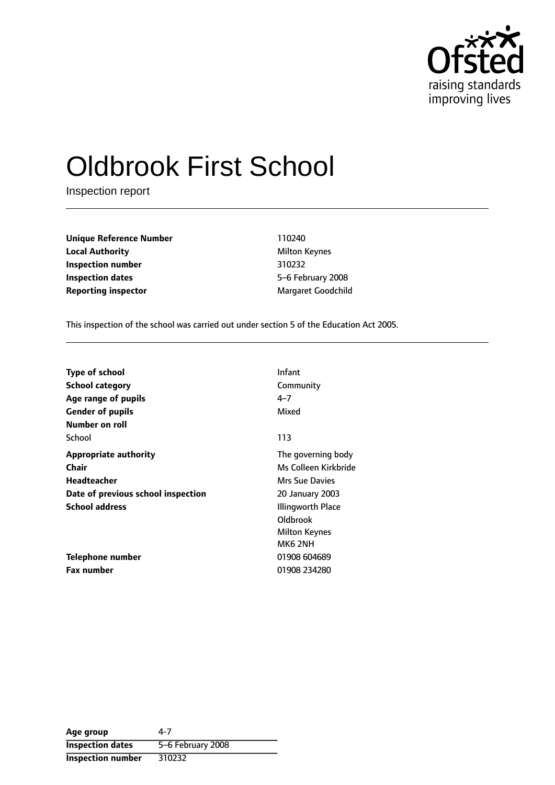

# Oldbrook First School

Inspection report

**Unique Reference Number** 110240 **Local Authority** Milton Keynes **Inspection number** 310232 **Inspection dates** 5-6 February 2008 **Reporting inspector** Margaret Goodchild

This inspection of the school was carried out under section 5 of the Education Act 2005.

| <b>Type of school</b>              | Infant                 |
|------------------------------------|------------------------|
| <b>School category</b>             | Community              |
| Age range of pupils                | 4–7                    |
| <b>Gender of pupils</b>            | Mixed                  |
| Number on roll                     |                        |
| School                             | 113                    |
| <b>Appropriate authority</b>       | The governing body     |
| Chair                              | Ms Colleen Kirkbride   |
| Headteacher                        | <b>Mrs Sue Davies</b>  |
| Date of previous school inspection | <b>20 January 2003</b> |
| <b>School address</b>              | Illingworth Place      |
|                                    | Oldbrook               |
|                                    | <b>Milton Keynes</b>   |
|                                    | MK62NH                 |
| Telephone number                   | 01908 604689           |
| <b>Fax number</b>                  | 01908 234280           |

| Age group                | 4-7               |
|--------------------------|-------------------|
| <b>Inspection dates</b>  | 5-6 February 2008 |
| <b>Inspection number</b> | 310232            |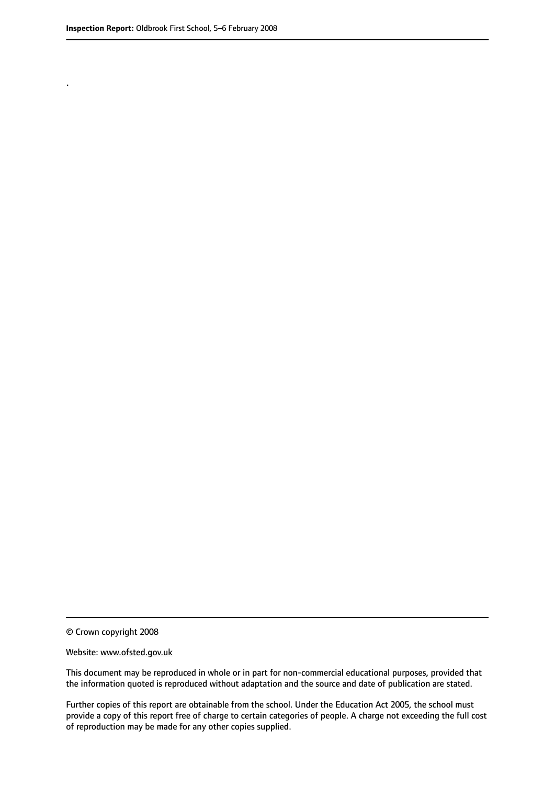.

© Crown copyright 2008

#### Website: www.ofsted.gov.uk

This document may be reproduced in whole or in part for non-commercial educational purposes, provided that the information quoted is reproduced without adaptation and the source and date of publication are stated.

Further copies of this report are obtainable from the school. Under the Education Act 2005, the school must provide a copy of this report free of charge to certain categories of people. A charge not exceeding the full cost of reproduction may be made for any other copies supplied.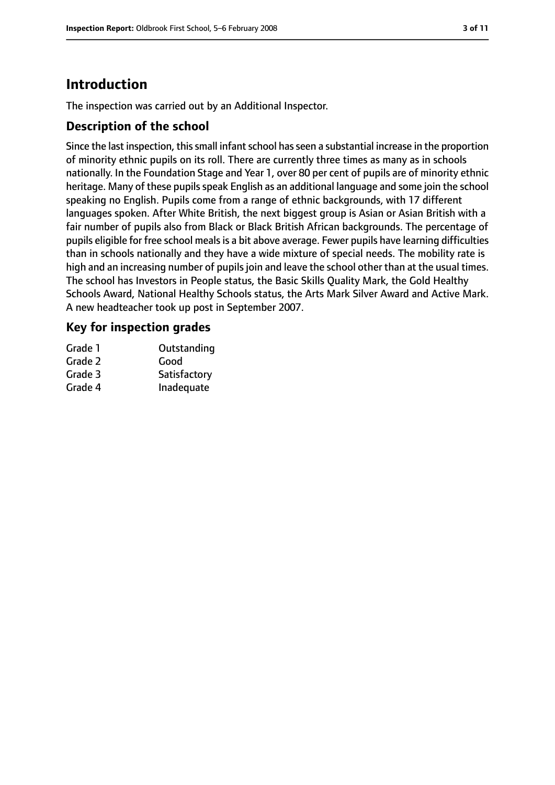# **Introduction**

The inspection was carried out by an Additional Inspector.

## **Description of the school**

Since the last inspection, this small infant school has seen a substantial increase in the proportion of minority ethnic pupils on its roll. There are currently three times as many as in schools nationally. In the Foundation Stage and Year 1, over 80 per cent of pupils are of minority ethnic heritage. Many of these pupils speak English as an additional language and some join the school speaking no English. Pupils come from a range of ethnic backgrounds, with 17 different languages spoken. After White British, the next biggest group is Asian or Asian British with a fair number of pupils also from Black or Black British African backgrounds. The percentage of pupils eligible for free school mealsis a bit above average. Fewer pupils have learning difficulties than in schools nationally and they have a wide mixture of special needs. The mobility rate is high and an increasing number of pupils join and leave the school other than at the usual times. The school has Investors in People status, the Basic Skills Quality Mark, the Gold Healthy Schools Award, National Healthy Schools status, the Arts Mark Silver Award and Active Mark. A new headteacher took up post in September 2007.

## **Key for inspection grades**

| Grade 1 | Outstanding  |
|---------|--------------|
| Grade 2 | Good         |
| Grade 3 | Satisfactory |
| Grade 4 | Inadequate   |
|         |              |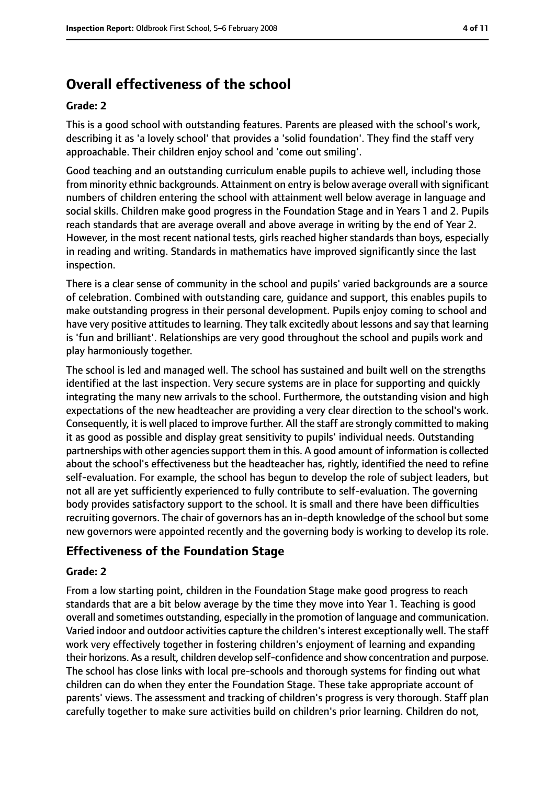# **Overall effectiveness of the school**

#### **Grade: 2**

This is a good school with outstanding features. Parents are pleased with the school's work, describing it as 'a lovely school' that provides a 'solid foundation'. They find the staff very approachable. Their children enjoy school and 'come out smiling'.

Good teaching and an outstanding curriculum enable pupils to achieve well, including those from minority ethnic backgrounds. Attainment on entry is below average overall with significant numbers of children entering the school with attainment well below average in language and social skills. Children make good progress in the Foundation Stage and in Years 1 and 2. Pupils reach standards that are average overall and above average in writing by the end of Year 2. However, in the most recent national tests, girls reached higher standards than boys, especially in reading and writing. Standards in mathematics have improved significantly since the last inspection.

There is a clear sense of community in the school and pupils' varied backgrounds are a source of celebration. Combined with outstanding care, guidance and support, this enables pupils to make outstanding progress in their personal development. Pupils enjoy coming to school and have very positive attitudes to learning. They talk excitedly about lessons and say that learning is 'fun and brilliant'. Relationships are very good throughout the school and pupils work and play harmoniously together.

The school is led and managed well. The school has sustained and built well on the strengths identified at the last inspection. Very secure systems are in place for supporting and quickly integrating the many new arrivals to the school. Furthermore, the outstanding vision and high expectations of the new headteacher are providing a very clear direction to the school's work. Consequently, it is well placed to improve further. All the staff are strongly committed to making it as good as possible and display great sensitivity to pupils' individual needs. Outstanding partnerships with other agencies support them in this. A good amount of information is collected about the school's effectiveness but the headteacher has, rightly, identified the need to refine self-evaluation. For example, the school has begun to develop the role of subject leaders, but not all are yet sufficiently experienced to fully contribute to self-evaluation. The governing body provides satisfactory support to the school. It is small and there have been difficulties recruiting governors. The chair of governors has an in-depth knowledge of the school but some new governors were appointed recently and the governing body is working to develop its role.

# **Effectiveness of the Foundation Stage**

#### **Grade: 2**

From a low starting point, children in the Foundation Stage make good progress to reach standards that are a bit below average by the time they move into Year 1. Teaching is good overall and sometimes outstanding, especially in the promotion of language and communication. Varied indoor and outdoor activities capture the children's interest exceptionally well. The staff work very effectively together in fostering children's enjoyment of learning and expanding their horizons. As a result, children develop self-confidence and show concentration and purpose. The school has close links with local pre-schools and thorough systems for finding out what children can do when they enter the Foundation Stage. These take appropriate account of parents' views. The assessment and tracking of children's progress is very thorough. Staff plan carefully together to make sure activities build on children's prior learning. Children do not,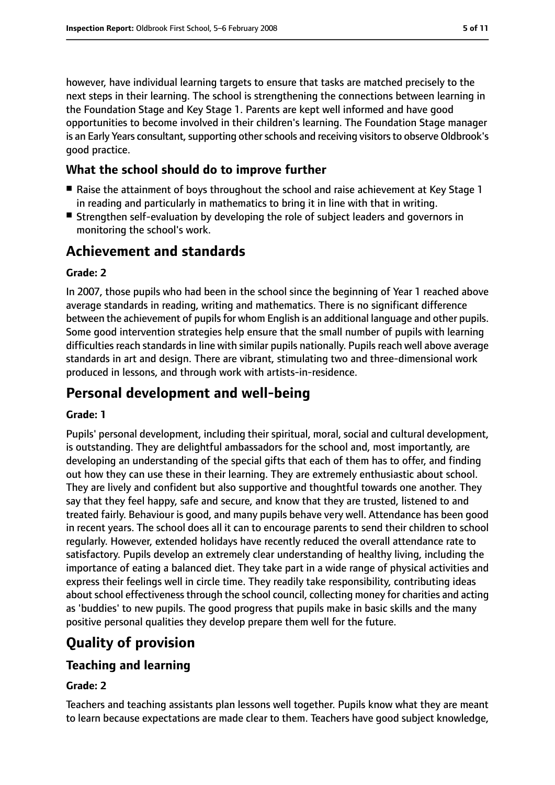however, have individual learning targets to ensure that tasks are matched precisely to the next steps in their learning. The school is strengthening the connections between learning in the Foundation Stage and Key Stage 1. Parents are kept well informed and have good opportunities to become involved in their children's learning. The Foundation Stage manager is an Early Years consultant, supporting other schools and receiving visitors to observe Oldbrook's good practice.

# **What the school should do to improve further**

- Raise the attainment of boys throughout the school and raise achievement at Key Stage 1 in reading and particularly in mathematics to bring it in line with that in writing.
- Strengthen self-evaluation by developing the role of subject leaders and governors in monitoring the school's work.

# **Achievement and standards**

## **Grade: 2**

In 2007, those pupils who had been in the school since the beginning of Year 1 reached above average standards in reading, writing and mathematics. There is no significant difference between the achievement of pupils for whom English is an additional language and other pupils. Some good intervention strategies help ensure that the small number of pupils with learning difficulties reach standards in line with similar pupils nationally. Pupils reach well above average standards in art and design. There are vibrant, stimulating two and three-dimensional work produced in lessons, and through work with artists-in-residence.

# **Personal development and well-being**

## **Grade: 1**

Pupils' personal development, including their spiritual, moral, social and cultural development, is outstanding. They are delightful ambassadors for the school and, most importantly, are developing an understanding of the special gifts that each of them has to offer, and finding out how they can use these in their learning. They are extremely enthusiastic about school. They are lively and confident but also supportive and thoughtful towards one another. They say that they feel happy, safe and secure, and know that they are trusted, listened to and treated fairly. Behaviour is good, and many pupils behave very well. Attendance has been good in recent years. The school does all it can to encourage parents to send their children to school regularly. However, extended holidays have recently reduced the overall attendance rate to satisfactory. Pupils develop an extremely clear understanding of healthy living, including the importance of eating a balanced diet. They take part in a wide range of physical activities and express their feelings well in circle time. They readily take responsibility, contributing ideas about school effectiveness through the school council, collecting money for charities and acting as 'buddies' to new pupils. The good progress that pupils make in basic skills and the many positive personal qualities they develop prepare them well for the future.

# **Quality of provision**

# **Teaching and learning**

## **Grade: 2**

Teachers and teaching assistants plan lessons well together. Pupils know what they are meant to learn because expectations are made clear to them. Teachers have good subject knowledge,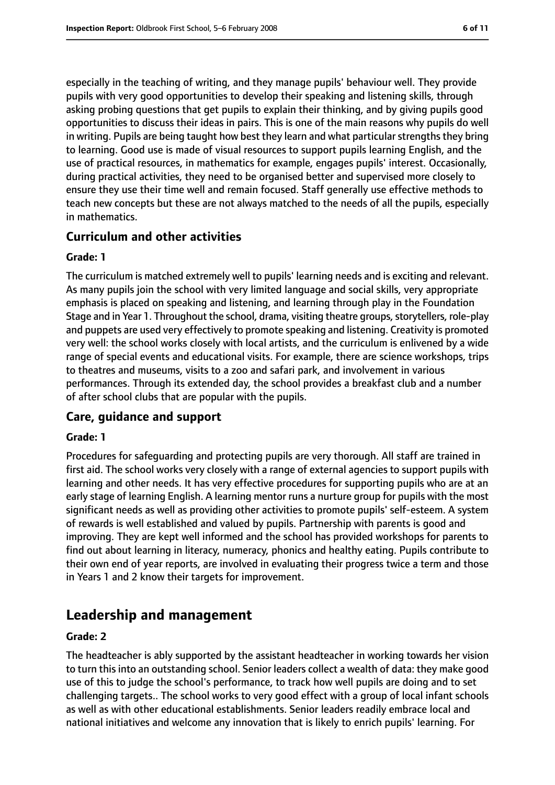especially in the teaching of writing, and they manage pupils' behaviour well. They provide pupils with very good opportunities to develop their speaking and listening skills, through asking probing questions that get pupils to explain their thinking, and by giving pupils good opportunities to discuss their ideas in pairs. This is one of the main reasons why pupils do well in writing. Pupils are being taught how best they learn and what particular strengths they bring to learning. Good use is made of visual resources to support pupils learning English, and the use of practical resources, in mathematics for example, engages pupils' interest. Occasionally, during practical activities, they need to be organised better and supervised more closely to ensure they use their time well and remain focused. Staff generally use effective methods to teach new concepts but these are not always matched to the needs of all the pupils, especially in mathematics.

## **Curriculum and other activities**

#### **Grade: 1**

The curriculum is matched extremely well to pupils' learning needs and is exciting and relevant. As many pupils join the school with very limited language and social skills, very appropriate emphasis is placed on speaking and listening, and learning through play in the Foundation Stage and in Year 1. Throughout the school, drama, visiting theatre groups, storytellers, role-play and puppets are used very effectively to promote speaking and listening. Creativity is promoted very well: the school works closely with local artists, and the curriculum is enlivened by a wide range of special events and educational visits. For example, there are science workshops, trips to theatres and museums, visits to a zoo and safari park, and involvement in various performances. Through its extended day, the school provides a breakfast club and a number of after school clubs that are popular with the pupils.

## **Care, guidance and support**

#### **Grade: 1**

Procedures for safeguarding and protecting pupils are very thorough. All staff are trained in first aid. The school works very closely with a range of external agencies to support pupils with learning and other needs. It has very effective procedures for supporting pupils who are at an early stage of learning English. A learning mentor runs a nurture group for pupils with the most significant needs as well as providing other activities to promote pupils' self-esteem. A system of rewards is well established and valued by pupils. Partnership with parents is good and improving. They are kept well informed and the school has provided workshops for parents to find out about learning in literacy, numeracy, phonics and healthy eating. Pupils contribute to their own end of year reports, are involved in evaluating their progress twice a term and those in Years 1 and 2 know their targets for improvement.

# **Leadership and management**

#### **Grade: 2**

The headteacher is ably supported by the assistant headteacher in working towards her vision to turn this into an outstanding school. Senior leaders collect a wealth of data: they make good use of this to judge the school's performance, to track how well pupils are doing and to set challenging targets.. The school works to very good effect with a group of local infant schools as well as with other educational establishments. Senior leaders readily embrace local and national initiatives and welcome any innovation that is likely to enrich pupils' learning. For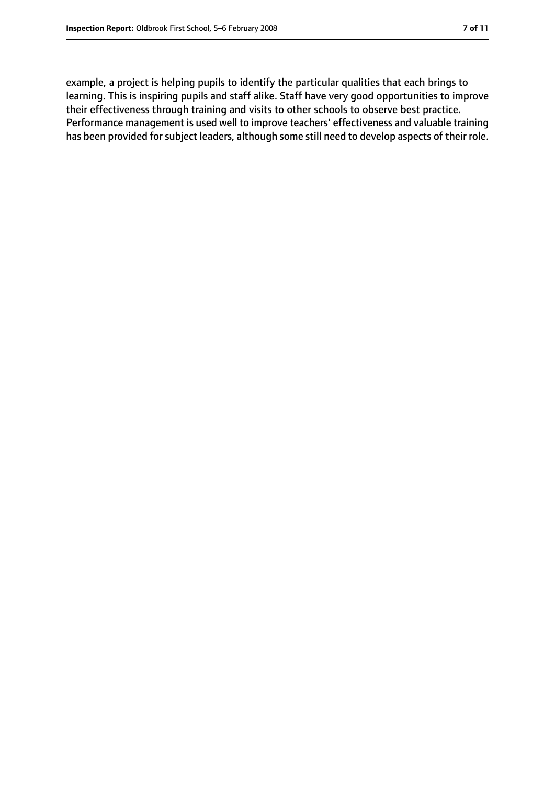example, a project is helping pupils to identify the particular qualities that each brings to learning. This is inspiring pupils and staff alike. Staff have very good opportunities to improve their effectiveness through training and visits to other schools to observe best practice. Performance management is used well to improve teachers' effectiveness and valuable training has been provided for subject leaders, although some still need to develop aspects of their role.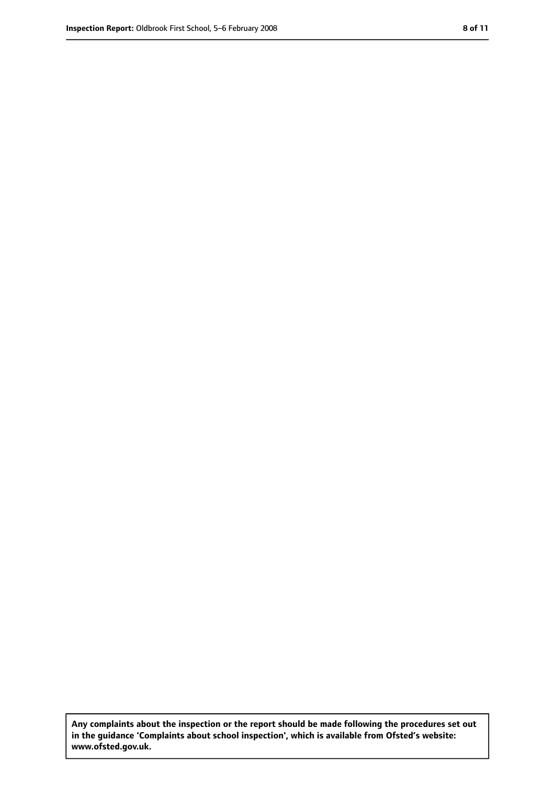**Any complaints about the inspection or the report should be made following the procedures set out in the guidance 'Complaints about school inspection', which is available from Ofsted's website: www.ofsted.gov.uk.**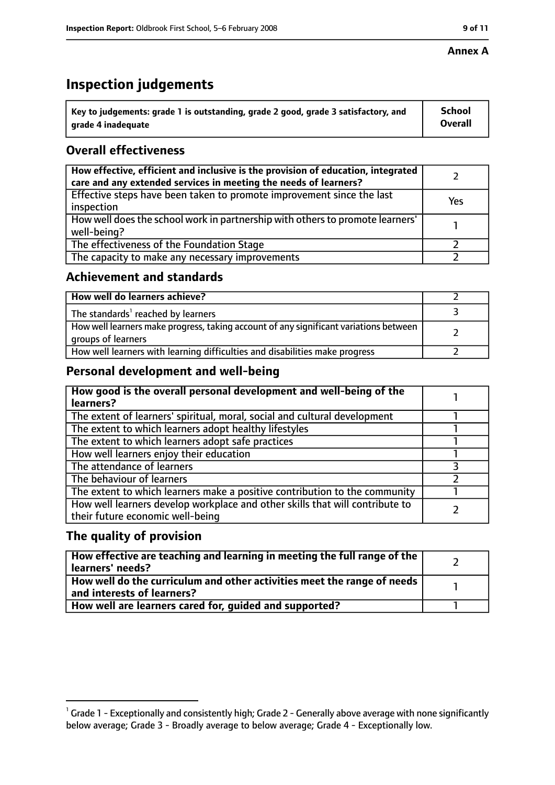#### **Annex A**

# **Inspection judgements**

| $^{\backprime}$ Key to judgements: grade 1 is outstanding, grade 2 good, grade 3 satisfactory, and | <b>School</b>  |
|----------------------------------------------------------------------------------------------------|----------------|
| arade 4 inadequate                                                                                 | <b>Overall</b> |

# **Overall effectiveness**

| How effective, efficient and inclusive is the provision of education, integrated<br>care and any extended services in meeting the needs of learners? |     |
|------------------------------------------------------------------------------------------------------------------------------------------------------|-----|
| Effective steps have been taken to promote improvement since the last<br>inspection                                                                  | Yes |
| How well does the school work in partnership with others to promote learners'<br>well-being?                                                         |     |
| The effectiveness of the Foundation Stage                                                                                                            |     |
| The capacity to make any necessary improvements                                                                                                      |     |

## **Achievement and standards**

| How well do learners achieve?                                                                               |  |
|-------------------------------------------------------------------------------------------------------------|--|
| The standards <sup>1</sup> reached by learners                                                              |  |
| How well learners make progress, taking account of any significant variations between<br>groups of learners |  |
| How well learners with learning difficulties and disabilities make progress                                 |  |

# **Personal development and well-being**

| How good is the overall personal development and well-being of the<br>learners?                                  |  |
|------------------------------------------------------------------------------------------------------------------|--|
| The extent of learners' spiritual, moral, social and cultural development                                        |  |
| The extent to which learners adopt healthy lifestyles                                                            |  |
| The extent to which learners adopt safe practices                                                                |  |
| How well learners enjoy their education                                                                          |  |
| The attendance of learners                                                                                       |  |
| The behaviour of learners                                                                                        |  |
| The extent to which learners make a positive contribution to the community                                       |  |
| How well learners develop workplace and other skills that will contribute to<br>their future economic well-being |  |

# **The quality of provision**

| How effective are teaching and learning in meeting the full range of the<br>learners' needs?          |  |
|-------------------------------------------------------------------------------------------------------|--|
| How well do the curriculum and other activities meet the range of needs<br>and interests of learners? |  |
| How well are learners cared for, quided and supported?                                                |  |

 $^1$  Grade 1 - Exceptionally and consistently high; Grade 2 - Generally above average with none significantly below average; Grade 3 - Broadly average to below average; Grade 4 - Exceptionally low.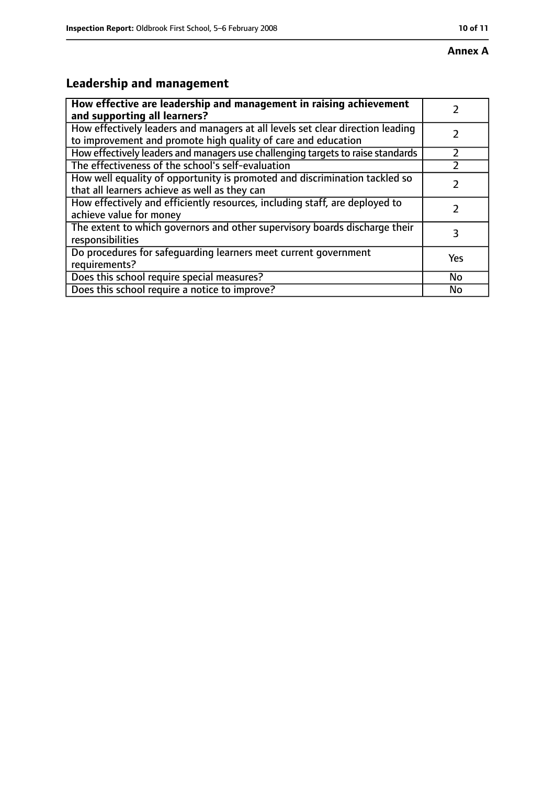# **Annex A**

# **Leadership and management**

| How effective are leadership and management in raising achievement<br>and supporting all learners?                                              |     |
|-------------------------------------------------------------------------------------------------------------------------------------------------|-----|
| How effectively leaders and managers at all levels set clear direction leading<br>to improvement and promote high quality of care and education |     |
| How effectively leaders and managers use challenging targets to raise standards                                                                 |     |
| The effectiveness of the school's self-evaluation                                                                                               |     |
| How well equality of opportunity is promoted and discrimination tackled so<br>that all learners achieve as well as they can                     |     |
| How effectively and efficiently resources, including staff, are deployed to<br>achieve value for money                                          |     |
| The extent to which governors and other supervisory boards discharge their<br>responsibilities                                                  | 3   |
| Do procedures for safequarding learners meet current government<br>requirements?                                                                | Yes |
| Does this school require special measures?                                                                                                      | No  |
| Does this school require a notice to improve?                                                                                                   | No  |